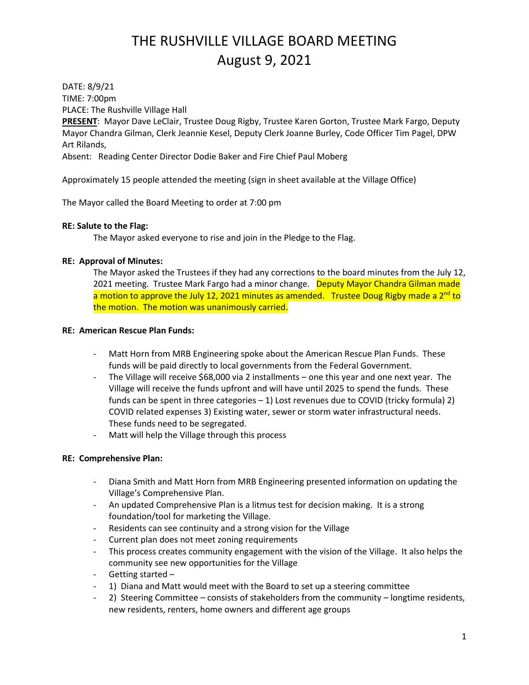DATE: 8/9/21 TIME: 7:00pm PLACE: The Rushville Village Hall

**PRESENT**: Mayor Dave LeClair, Trustee Doug Rigby, Trustee Karen Gorton, Trustee Mark Fargo, Deputy Mayor Chandra Gilman, Clerk Jeannie Kesel, Deputy Clerk Joanne Burley, Code Officer Tim Pagel, DPW Art Rilands,

Absent: Reading Center Director Dodie Baker and Fire Chief Paul Moberg

Approximately 15 people attended the meeting (sign in sheet available at the Village Office)

The Mayor called the Board Meeting to order at 7:00 pm

## **RE: Salute to the Flag:**

The Mayor asked everyone to rise and join in the Pledge to the Flag.

## **RE: Approval of Minutes:**

The Mayor asked the Trustees if they had any corrections to the board minutes from the July 12, 2021 meeting. Trustee Mark Fargo had a minor change. Deputy Mayor Chandra Gilman made a motion to approve the July 12, 2021 minutes as amended. Trustee Doug Rigby made a 2<sup>nd</sup> to the motion. The motion was unanimously carried.

## **RE: American Rescue Plan Funds:**

- Matt Horn from MRB Engineering spoke about the American Rescue Plan Funds. These funds will be paid directly to local governments from the Federal Government.
- The Village will receive \$68,000 via 2 installments one this year and one next year. The Village will receive the funds upfront and will have until 2025 to spend the funds. These funds can be spent in three categories  $-1$ ) Lost revenues due to COVID (tricky formula) 2) COVID related expenses 3) Existing water, sewer or storm water infrastructural needs. These funds need to be segregated.
- Matt will help the Village through this process

## **RE: Comprehensive Plan:**

- Diana Smith and Matt Horn from MRB Engineering presented information on updating the Village's Comprehensive Plan.
- An updated Comprehensive Plan is a litmus test for decision making. It is a strong foundation/tool for marketing the Village.
- Residents can see continuity and a strong vision for the Village
- Current plan does not meet zoning requirements
- This process creates community engagement with the vision of the Village. It also helps the community see new opportunities for the Village
- Getting started –
- 1) Diana and Matt would meet with the Board to set up a steering committee
- 2) Steering Committee consists of stakeholders from the community longtime residents, new residents, renters, home owners and different age groups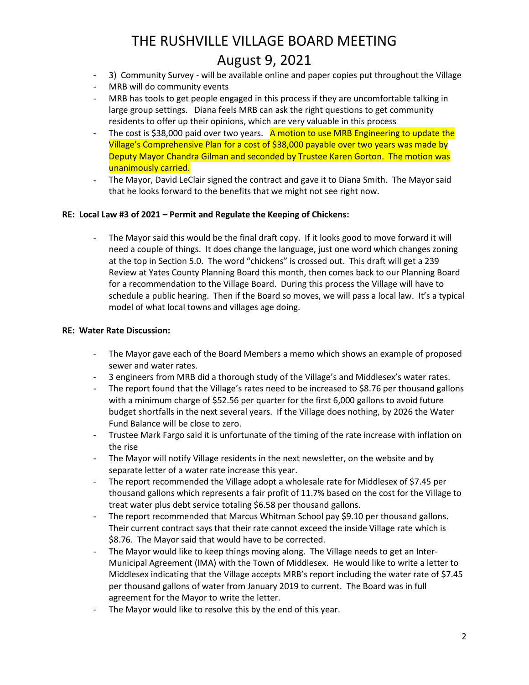- 3) Community Survey will be available online and paper copies put throughout the Village
- MRB will do community events
- MRB has tools to get people engaged in this process if they are uncomfortable talking in large group settings. Diana feels MRB can ask the right questions to get community residents to offer up their opinions, which are very valuable in this process
- The cost is \$38,000 paid over two years. A motion to use MRB Engineering to update the Village's Comprehensive Plan for a cost of \$38,000 payable over two years was made by Deputy Mayor Chandra Gilman and seconded by Trustee Karen Gorton. The motion was unanimously carried.
- The Mayor, David LeClair signed the contract and gave it to Diana Smith. The Mayor said that he looks forward to the benefits that we might not see right now.

## **RE: Local Law #3 of 2021 – Permit and Regulate the Keeping of Chickens:**

- The Mayor said this would be the final draft copy. If it looks good to move forward it will need a couple of things. It does change the language, just one word which changes zoning at the top in Section 5.0. The word "chickens" is crossed out. This draft will get a 239 Review at Yates County Planning Board this month, then comes back to our Planning Board for a recommendation to the Village Board. During this process the Village will have to schedule a public hearing. Then if the Board so moves, we will pass a local law. It's a typical model of what local towns and villages age doing.

## **RE: Water Rate Discussion:**

- The Mayor gave each of the Board Members a memo which shows an example of proposed sewer and water rates.
- 3 engineers from MRB did a thorough study of the Village's and Middlesex's water rates.
- The report found that the Village's rates need to be increased to \$8.76 per thousand gallons with a minimum charge of \$52.56 per quarter for the first 6,000 gallons to avoid future budget shortfalls in the next several years. If the Village does nothing, by 2026 the Water Fund Balance will be close to zero.
- Trustee Mark Fargo said it is unfortunate of the timing of the rate increase with inflation on the rise
- The Mayor will notify Village residents in the next newsletter, on the website and by separate letter of a water rate increase this year.
- The report recommended the Village adopt a wholesale rate for Middlesex of \$7.45 per thousand gallons which represents a fair profit of 11.7% based on the cost for the Village to treat water plus debt service totaling \$6.58 per thousand gallons.
- The report recommended that Marcus Whitman School pay \$9.10 per thousand gallons. Their current contract says that their rate cannot exceed the inside Village rate which is \$8.76. The Mayor said that would have to be corrected.
- The Mayor would like to keep things moving along. The Village needs to get an Inter-Municipal Agreement (IMA) with the Town of Middlesex. He would like to write a letter to Middlesex indicating that the Village accepts MRB's report including the water rate of \$7.45 per thousand gallons of water from January 2019 to current. The Board was in full agreement for the Mayor to write the letter.
- The Mayor would like to resolve this by the end of this year.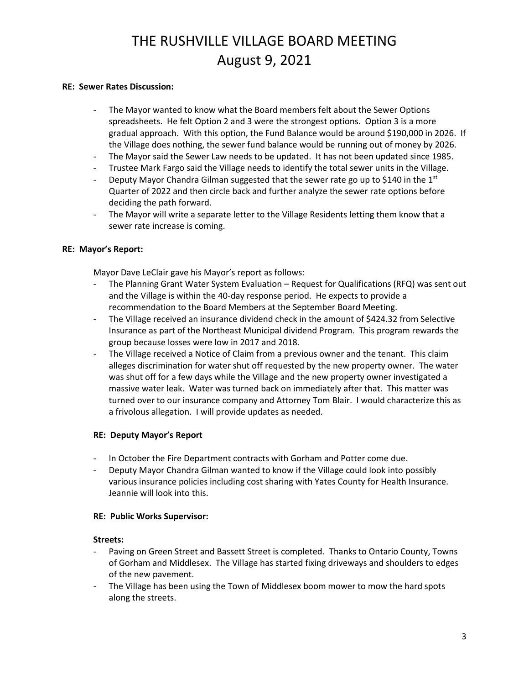### **RE: Sewer Rates Discussion:**

- The Mayor wanted to know what the Board members felt about the Sewer Options spreadsheets. He felt Option 2 and 3 were the strongest options. Option 3 is a more gradual approach. With this option, the Fund Balance would be around \$190,000 in 2026. If the Village does nothing, the sewer fund balance would be running out of money by 2026.
- The Mayor said the Sewer Law needs to be updated. It has not been updated since 1985.
- Trustee Mark Fargo said the Village needs to identify the total sewer units in the Village.
- Deputy Mayor Chandra Gilman suggested that the sewer rate go up to \$140 in the  $1^{st}$ Quarter of 2022 and then circle back and further analyze the sewer rate options before deciding the path forward.
- The Mayor will write a separate letter to the Village Residents letting them know that a sewer rate increase is coming.

### **RE: Mayor's Report:**

Mayor Dave LeClair gave his Mayor's report as follows:

- The Planning Grant Water System Evaluation Request for Qualifications (RFQ) was sent out and the Village is within the 40-day response period. He expects to provide a recommendation to the Board Members at the September Board Meeting.
- The Village received an insurance dividend check in the amount of \$424.32 from Selective Insurance as part of the Northeast Municipal dividend Program. This program rewards the group because losses were low in 2017 and 2018.
- The Village received a Notice of Claim from a previous owner and the tenant. This claim alleges discrimination for water shut off requested by the new property owner. The water was shut off for a few days while the Village and the new property owner investigated a massive water leak. Water was turned back on immediately after that. This matter was turned over to our insurance company and Attorney Tom Blair. I would characterize this as a frivolous allegation. I will provide updates as needed.

## **RE: Deputy Mayor's Report**

- In October the Fire Department contracts with Gorham and Potter come due.
- Deputy Mayor Chandra Gilman wanted to know if the Village could look into possibly various insurance policies including cost sharing with Yates County for Health Insurance. Jeannie will look into this.

#### **RE: Public Works Supervisor:**

#### **Streets:**

- Paving on Green Street and Bassett Street is completed. Thanks to Ontario County, Towns of Gorham and Middlesex. The Village has started fixing driveways and shoulders to edges of the new pavement.
- The Village has been using the Town of Middlesex boom mower to mow the hard spots along the streets.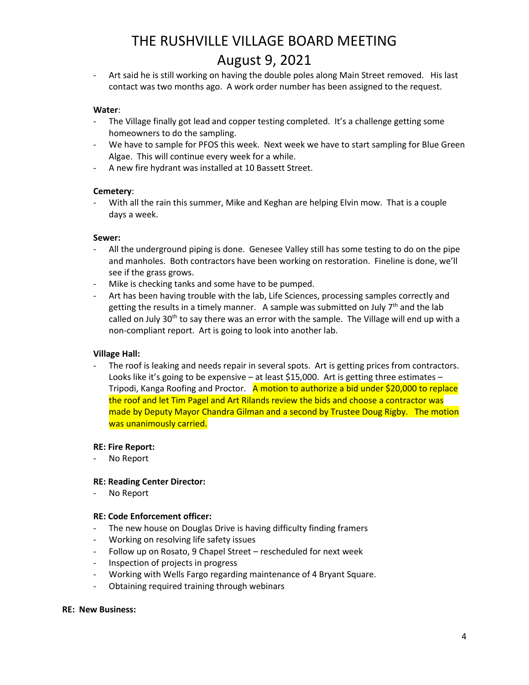Art said he is still working on having the double poles along Main Street removed. His last contact was two months ago. A work order number has been assigned to the request.

## **Water**:

- The Village finally got lead and copper testing completed. It's a challenge getting some homeowners to do the sampling.
- We have to sample for PFOS this week. Next week we have to start sampling for Blue Green Algae. This will continue every week for a while.
- A new fire hydrant was installed at 10 Bassett Street.

### **Cemetery**:

- With all the rain this summer, Mike and Keghan are helping Elvin mow. That is a couple days a week.

### **Sewer:**

- All the underground piping is done. Genesee Valley still has some testing to do on the pipe and manholes. Both contractors have been working on restoration. Fineline is done, we'll see if the grass grows.
- Mike is checking tanks and some have to be pumped.
- Art has been having trouble with the lab, Life Sciences, processing samples correctly and getting the results in a timely manner. A sample was submitted on July 7<sup>th</sup> and the lab called on July 30<sup>th</sup> to say there was an error with the sample. The Village will end up with a non-compliant report. Art is going to look into another lab.

## **Village Hall:**

The roof is leaking and needs repair in several spots. Art is getting prices from contractors. Looks like it's going to be expensive – at least \$15,000. Art is getting three estimates – Tripodi, Kanga Roofing and Proctor. A motion to authorize a bid under \$20,000 to replace the roof and let Tim Pagel and Art Rilands review the bids and choose a contractor was made by Deputy Mayor Chandra Gilman and a second by Trustee Doug Rigby. The motion was unanimously carried.

#### **RE: Fire Report:**

No Report

#### **RE: Reading Center Director:**

No Report

#### **RE: Code Enforcement officer:**

- The new house on Douglas Drive is having difficulty finding framers
- Working on resolving life safety issues
- Follow up on Rosato, 9 Chapel Street rescheduled for next week
- Inspection of projects in progress
- Working with Wells Fargo regarding maintenance of 4 Bryant Square.
- Obtaining required training through webinars

#### **RE: New Business:**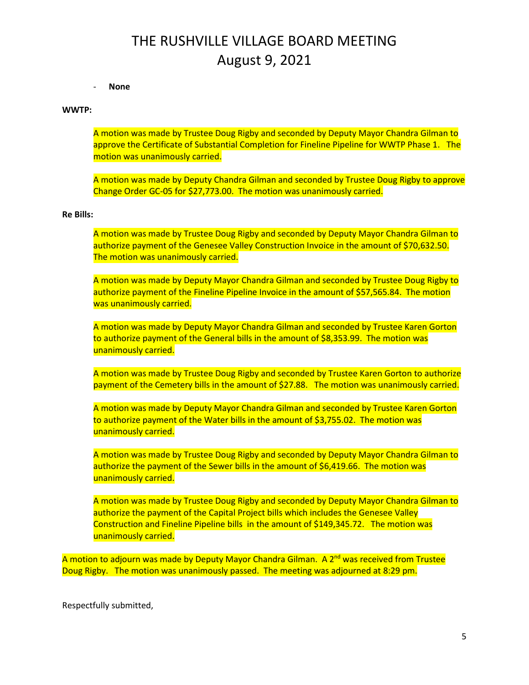#### - **None**

#### **WWTP:**

A motion was made by Trustee Doug Rigby and seconded by Deputy Mayor Chandra Gilman to approve the Certificate of Substantial Completion for Fineline Pipeline for WWTP Phase 1. The motion was unanimously carried.

A motion was made by Deputy Chandra Gilman and seconded by Trustee Doug Rigby to approve Change Order GC-05 for \$27,773.00. The motion was unanimously carried.

#### **Re Bills:**

A motion was made by Trustee Doug Rigby and seconded by Deputy Mayor Chandra Gilman to authorize payment of the Genesee Valley Construction Invoice in the amount of \$70,632.50. The motion was unanimously carried.

A motion was made by Deputy Mayor Chandra Gilman and seconded by Trustee Doug Rigby to authorize payment of the Fineline Pipeline Invoice in the amount of \$57,565.84. The motion was unanimously carried.

A motion was made by Deputy Mayor Chandra Gilman and seconded by Trustee Karen Gorton to authorize payment of the General bills in the amount of \$8,353.99. The motion was unanimously carried.

A motion was made by Trustee Doug Rigby and seconded by Trustee Karen Gorton to authorize payment of the Cemetery bills in the amount of \$27.88. The motion was unanimously carried.

A motion was made by Deputy Mayor Chandra Gilman and seconded by Trustee Karen Gorton to authorize payment of the Water bills in the amount of \$3,755.02. The motion was unanimously carried.

A motion was made by Trustee Doug Rigby and seconded by Deputy Mayor Chandra Gilman to authorize the payment of the Sewer bills in the amount of \$6,419.66. The motion was unanimously carried.

A motion was made by Trustee Doug Rigby and seconded by Deputy Mayor Chandra Gilman to authorize the payment of the Capital Project bills which includes the Genesee Valley Construction and Fineline Pipeline bills in the amount of \$149,345.72. The motion was unanimously carried.

A motion to adjourn was made by Deputy Mayor Chandra Gilman. A 2<sup>nd</sup> was received from Trustee Doug Rigby. The motion was unanimously passed. The meeting was adjourned at 8:29 pm.

Respectfully submitted,